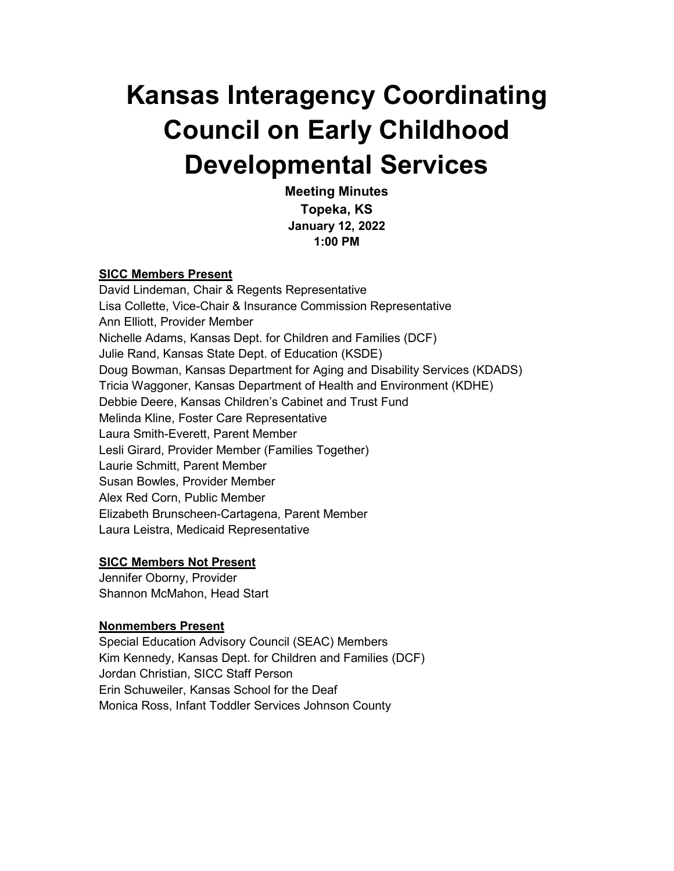# **Kansas Interagency Coordinating Council on Early Childhood Developmental Services**

**Meeting Minutes Topeka, KS January 12, 2022 1:00 PM**

#### **SICC Members Present**

David Lindeman, Chair & Regents Representative Lisa Collette, Vice-Chair & Insurance Commission Representative Ann Elliott, Provider Member Nichelle Adams, Kansas Dept. for Children and Families (DCF) Julie Rand, Kansas State Dept. of Education (KSDE) Doug Bowman, Kansas Department for Aging and Disability Services (KDADS) Tricia Waggoner, Kansas Department of Health and Environment (KDHE) Debbie Deere, Kansas Children's Cabinet and Trust Fund Melinda Kline, Foster Care Representative Laura Smith-Everett, Parent Member Lesli Girard, Provider Member (Families Together) Laurie Schmitt, Parent Member Susan Bowles, Provider Member Alex Red Corn, Public Member Elizabeth Brunscheen-Cartagena, Parent Member Laura Leistra, Medicaid Representative

#### **SICC Members Not Present**

Jennifer Oborny, Provider Shannon McMahon, Head Start

#### **Nonmembers Present**

Special Education Advisory Council (SEAC) Members Kim Kennedy, Kansas Dept. for Children and Families (DCF) Jordan Christian, SICC Staff Person Erin Schuweiler, Kansas School for the Deaf Monica Ross, Infant Toddler Services Johnson County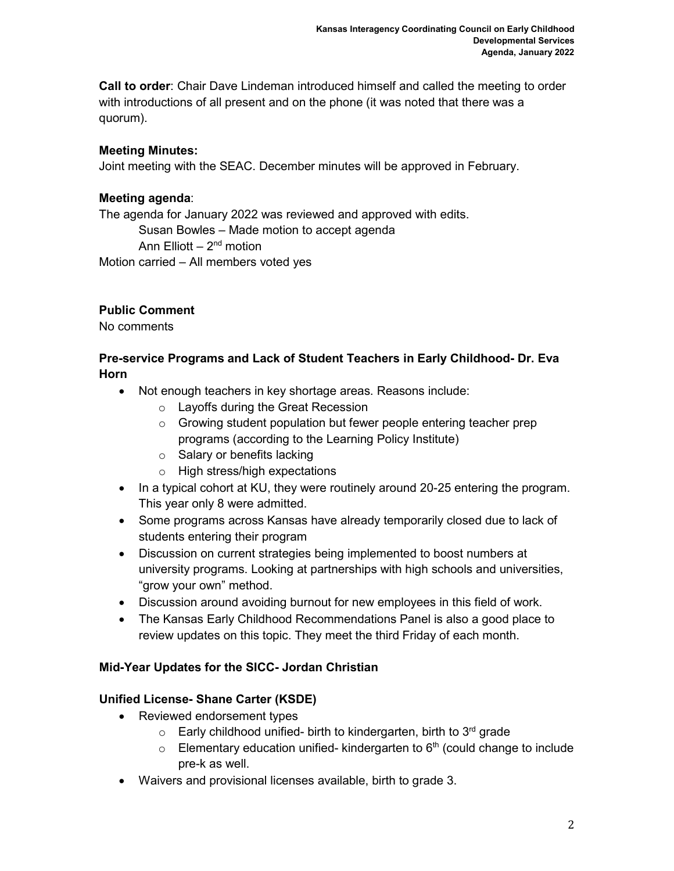**Call to order**: Chair Dave Lindeman introduced himself and called the meeting to order with introductions of all present and on the phone (it was noted that there was a quorum).

# **Meeting Minutes:**

Joint meeting with the SEAC. December minutes will be approved in February.

# **Meeting agenda**:

The agenda for January 2022 was reviewed and approved with edits.

Susan Bowles – Made motion to accept agenda

Ann Elliott –  $2<sup>nd</sup>$  motion

Motion carried – All members voted yes

# **Public Comment**

No comments

## **Pre-service Programs and Lack of Student Teachers in Early Childhood- Dr. Eva Horn**

- Not enough teachers in key shortage areas. Reasons include:
	- o Layoffs during the Great Recession
	- o Growing student population but fewer people entering teacher prep programs (according to the Learning Policy Institute)
	- o Salary or benefits lacking
	- o High stress/high expectations
- In a typical cohort at KU, they were routinely around 20-25 entering the program. This year only 8 were admitted.
- Some programs across Kansas have already temporarily closed due to lack of students entering their program
- Discussion on current strategies being implemented to boost numbers at university programs. Looking at partnerships with high schools and universities, "grow your own" method.
- Discussion around avoiding burnout for new employees in this field of work.
- The Kansas Early Childhood Recommendations Panel is also a good place to review updates on this topic. They meet the third Friday of each month.

## **Mid-Year Updates for the SICC- Jordan Christian**

# **Unified License- Shane Carter (KSDE)**

- Reviewed endorsement types
	- $\circ$  Early childhood unified- birth to kindergarten, birth to 3<sup>rd</sup> grade
	- $\circ$  Elementary education unified- kindergarten to 6<sup>th</sup> (could change to include pre-k as well.
- Waivers and provisional licenses available, birth to grade 3.